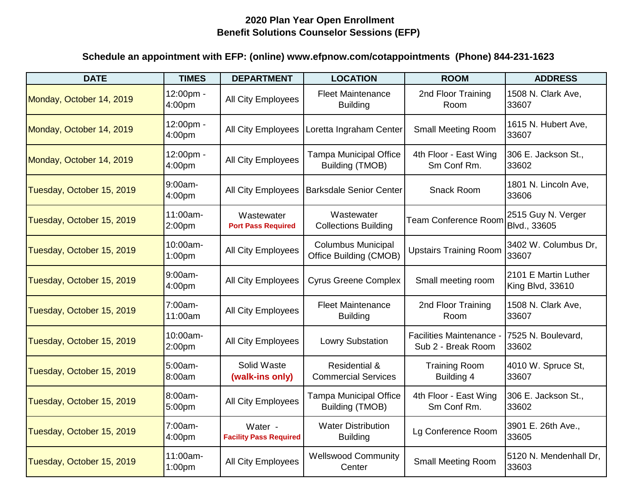| <b>DATE</b>               | <b>TIMES</b>                   | <b>DEPARTMENT</b>                        | <b>LOCATION</b>                                         | <b>ROOM</b>                                    | <b>ADDRESS</b>                           |
|---------------------------|--------------------------------|------------------------------------------|---------------------------------------------------------|------------------------------------------------|------------------------------------------|
| Monday, October 14, 2019  | 12:00pm -<br>4:00pm            | All City Employees                       | <b>Fleet Maintenance</b><br><b>Building</b>             | 2nd Floor Training<br>Room                     | 1508 N. Clark Ave,<br>33607              |
| Monday, October 14, 2019  | 12:00pm -<br>4:00pm            | <b>All City Employees</b>                | Loretta Ingraham Center                                 | <b>Small Meeting Room</b>                      | 1615 N. Hubert Ave,<br>33607             |
| Monday, October 14, 2019  | 12:00pm -<br>4:00pm            | All City Employees                       | <b>Tampa Municipal Office</b><br><b>Building (TMOB)</b> | 4th Floor - East Wing<br>Sm Conf Rm.           | 306 E. Jackson St.,<br>33602             |
| Tuesday, October 15, 2019 | 9:00am-<br>4:00pm              | All City Employees                       | Barksdale Senior Center                                 | Snack Room                                     | 1801 N. Lincoln Ave.<br>33606            |
| Tuesday, October 15, 2019 | 11:00am-<br>2:00pm             | Wastewater<br><b>Port Pass Required</b>  | Wastewater<br><b>Collections Building</b>               | <b>Team Conference Room</b>                    | 2515 Guy N. Verger<br>Blvd., 33605       |
| Tuesday, October 15, 2019 | 10:00am-<br>1:00 <sub>pm</sub> | All City Employees                       | <b>Columbus Municipal</b><br>Office Building (CMOB)     | <b>Upstairs Training Room</b>                  | 3402 W. Columbus Dr.<br>33607            |
| Tuesday, October 15, 2019 | 9:00am-<br>4:00pm              | All City Employees                       | <b>Cyrus Greene Complex</b>                             | Small meeting room                             | 2101 E Martin Luther<br>King Blvd, 33610 |
| Tuesday, October 15, 2019 | 7:00am-<br>11:00am             | All City Employees                       | <b>Fleet Maintenance</b><br><b>Building</b>             | 2nd Floor Training<br>Room                     | 1508 N. Clark Ave,<br>33607              |
| Tuesday, October 15, 2019 | 10:00am-<br>2:00pm             | All City Employees                       | <b>Lowry Substation</b>                                 | Facilities Maintenance -<br>Sub 2 - Break Room | 7525 N. Boulevard,<br>33602              |
| Tuesday, October 15, 2019 | 5:00am-<br>8:00am              | Solid Waste<br>(walk-ins only)           | <b>Residential &amp;</b><br><b>Commercial Services</b>  | <b>Training Room</b><br>Building 4             | 4010 W. Spruce St,<br>33607              |
| Tuesday, October 15, 2019 | 8:00am-<br>5:00pm              | All City Employees                       | <b>Tampa Municipal Office</b><br>Building (TMOB)        | 4th Floor - East Wing<br>Sm Conf Rm.           | 306 E. Jackson St.,<br>33602             |
| Tuesday, October 15, 2019 | 7:00am-<br>4:00 <sub>pm</sub>  | Water -<br><b>Facility Pass Required</b> | <b>Water Distribution</b><br><b>Building</b>            | Lg Conference Room                             | 3901 E. 26th Ave.,<br>33605              |
| Tuesday, October 15, 2019 | 11:00am-<br>1:00 <sub>pm</sub> | All City Employees                       | <b>Wellswood Community</b><br>Center                    | Small Meeting Room                             | 5120 N. Mendenhall Dr,<br>33603          |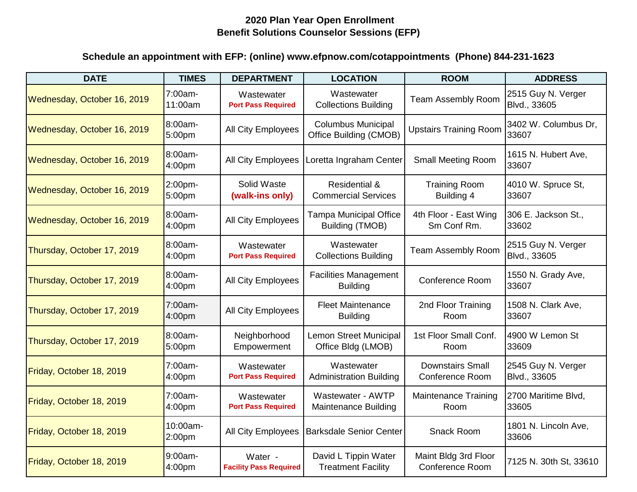| <b>DATE</b>                 | <b>TIMES</b>       | <b>DEPARTMENT</b>                        | <b>LOCATION</b>                                        | <b>ROOM</b>                                       | <b>ADDRESS</b>                     |
|-----------------------------|--------------------|------------------------------------------|--------------------------------------------------------|---------------------------------------------------|------------------------------------|
| Wednesday, October 16, 2019 | 7:00am-<br>11:00am | Wastewater<br><b>Port Pass Required</b>  | Wastewater<br><b>Collections Building</b>              | <b>Team Assembly Room</b>                         | 2515 Guy N. Verger<br>Blvd., 33605 |
| Wednesday, October 16, 2019 | 8:00am-<br>5:00pm  | All City Employees                       | <b>Columbus Municipal</b><br>Office Building (CMOB)    | <b>Upstairs Training Room</b>                     | 3402 W. Columbus Dr.<br>33607      |
| Wednesday, October 16, 2019 | 8:00am-<br>4:00pm  | <b>All City Employees</b>                | Loretta Ingraham Center                                | <b>Small Meeting Room</b>                         | 1615 N. Hubert Ave,<br>33607       |
| Wednesday, October 16, 2019 | 2:00pm-<br>5:00pm  | Solid Waste<br>(walk-ins only)           | <b>Residential &amp;</b><br><b>Commercial Services</b> | <b>Training Room</b><br>Building 4                | 4010 W. Spruce St,<br>33607        |
| Wednesday, October 16, 2019 | 8:00am-<br>4:00pm  | All City Employees                       | <b>Tampa Municipal Office</b><br>Building (TMOB)       | 4th Floor - East Wing<br>Sm Conf Rm.              | 306 E. Jackson St.,<br>33602       |
| Thursday, October 17, 2019  | 8:00am-<br>4:00pm  | Wastewater<br><b>Port Pass Required</b>  | Wastewater<br><b>Collections Building</b>              | <b>Team Assembly Room</b>                         | 2515 Guy N. Verger<br>Blvd., 33605 |
| Thursday, October 17, 2019  | 8:00am-<br>4:00pm  | All City Employees                       | <b>Facilities Management</b><br><b>Building</b>        | <b>Conference Room</b>                            | 1550 N. Grady Ave,<br>33607        |
| Thursday, October 17, 2019  | 7:00am-<br>4:00pm  | All City Employees                       | <b>Fleet Maintenance</b><br><b>Building</b>            | 2nd Floor Training<br>Room                        | 1508 N. Clark Ave,<br>33607        |
| Thursday, October 17, 2019  | 8:00am-<br>5:00pm  | Neighborhood<br>Empowerment              | <b>Lemon Street Municipal</b><br>Office Bldg (LMOB)    | 1st Floor Small Conf.<br>Room                     | 4900 W Lemon St<br>33609           |
| Friday, October 18, 2019    | 7:00am-<br>4:00pm  | Wastewater<br><b>Port Pass Required</b>  | Wastewater<br><b>Administration Building</b>           | <b>Downstairs Small</b><br><b>Conference Room</b> | 2545 Guy N. Verger<br>Blvd., 33605 |
| Friday, October 18, 2019    | 7:00am-<br>4:00pm  | Wastewater<br><b>Port Pass Required</b>  | Wastewater - AWTP<br><b>Maintenance Building</b>       | <b>Maintenance Training</b><br>Room               | 2700 Maritime Blvd,<br>33605       |
| Friday, October 18, 2019    | 10:00am-<br>2:00pm | <b>All City Employees</b>                | <b>Barksdale Senior Center</b>                         | Snack Room                                        | 1801 N. Lincoln Ave,<br>33606      |
| Friday, October 18, 2019    | 9:00am-<br>4:00pm  | Water -<br><b>Facility Pass Required</b> | David L Tippin Water<br><b>Treatment Facility</b>      | Maint Bldg 3rd Floor<br>Conference Room           | 7125 N. 30th St, 33610             |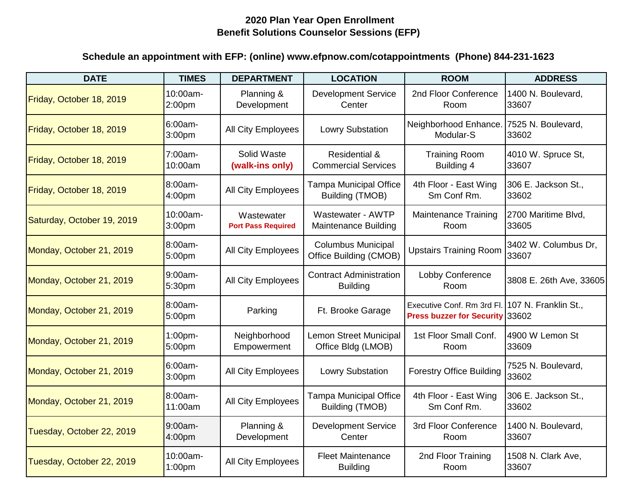| <b>DATE</b>                | <b>TIMES</b>                   | <b>DEPARTMENT</b>                       | <b>LOCATION</b>                                        | <b>ROOM</b>                                                                        | <b>ADDRESS</b>                |
|----------------------------|--------------------------------|-----------------------------------------|--------------------------------------------------------|------------------------------------------------------------------------------------|-------------------------------|
| Friday, October 18, 2019   | 10:00am-<br>2:00 <sub>pm</sub> | Planning &<br>Development               | <b>Development Service</b><br>Center                   | 2nd Floor Conference<br>Room                                                       | 1400 N. Boulevard,<br>33607   |
| Friday, October 18, 2019   | 6:00am-<br>3:00pm              | All City Employees                      | <b>Lowry Substation</b>                                | Neighborhood Enhance.<br>Modular-S                                                 | 7525 N. Boulevard,<br>33602   |
| Friday, October 18, 2019   | 7:00am-<br>10:00am             | Solid Waste<br>(walk-ins only)          | <b>Residential &amp;</b><br><b>Commercial Services</b> | <b>Training Room</b><br>Building 4                                                 | 4010 W. Spruce St,<br>33607   |
| Friday, October 18, 2019   | 8:00am-<br>4:00pm              | All City Employees                      | <b>Tampa Municipal Office</b><br>Building (TMOB)       | 4th Floor - East Wing<br>Sm Conf Rm.                                               | 306 E. Jackson St.,<br>33602  |
| Saturday, October 19, 2019 | 10:00am-<br>3:00pm             | Wastewater<br><b>Port Pass Required</b> | Wastewater - AWTP<br><b>Maintenance Building</b>       | <b>Maintenance Training</b><br>Room                                                | 2700 Maritime Blvd,<br>33605  |
| Monday, October 21, 2019   | 8:00am-<br>5:00pm              | All City Employees                      | <b>Columbus Municipal</b><br>Office Building (CMOB)    | <b>Upstairs Training Room</b>                                                      | 3402 W. Columbus Dr.<br>33607 |
| Monday, October 21, 2019   | 9:00am-<br>5:30pm              | All City Employees                      | <b>Contract Administration</b><br><b>Building</b>      | Lobby Conference<br>Room                                                           | 3808 E. 26th Ave, 33605       |
| Monday, October 21, 2019   | 8:00am-<br>5:00pm              | Parking                                 | Ft. Brooke Garage                                      | Executive Conf. Rm 3rd Fl. 107 N. Franklin St.,<br>Press buzzer for Security 33602 |                               |
| Monday, October 21, 2019   | 1:00pm-<br>5:00pm              | Neighborhood<br>Empowerment             | <b>Lemon Street Municipal</b><br>Office Bldg (LMOB)    | 1st Floor Small Conf.<br>Room                                                      | 4900 W Lemon St<br>33609      |
| Monday, October 21, 2019   | 6:00am-<br>3:00pm              | All City Employees                      | <b>Lowry Substation</b>                                | <b>Forestry Office Building</b>                                                    | 7525 N. Boulevard,<br>33602   |
| Monday, October 21, 2019   | 8:00am-<br>11:00am             | All City Employees                      | <b>Tampa Municipal Office</b><br>Building (TMOB)       | 4th Floor - East Wing<br>Sm Conf Rm.                                               | 306 E. Jackson St.,<br>33602  |
| Tuesday, October 22, 2019  | 9:00am-<br>4:00pm              | Planning &<br>Development               | <b>Development Service</b><br>Center                   | 3rd Floor Conference<br>Room                                                       | 1400 N. Boulevard,<br>33607   |
| Tuesday, October 22, 2019  | 10:00am-<br>1:00pm             | All City Employees                      | <b>Fleet Maintenance</b><br><b>Building</b>            | 2nd Floor Training<br>Room                                                         | 1508 N. Clark Ave,<br>33607   |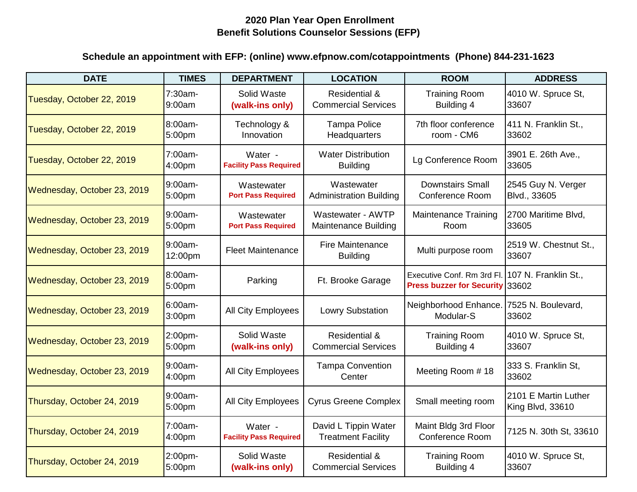| <b>DATE</b>                 | <b>TIMES</b>         | <b>DEPARTMENT</b>                        | <b>LOCATION</b>                                        | <b>ROOM</b>                                                   | <b>ADDRESS</b>                           |
|-----------------------------|----------------------|------------------------------------------|--------------------------------------------------------|---------------------------------------------------------------|------------------------------------------|
| Tuesday, October 22, 2019   | 7:30am-<br>9:00am    | Solid Waste<br>(walk-ins only)           | <b>Residential &amp;</b><br><b>Commercial Services</b> | <b>Training Room</b><br>Building 4                            | 4010 W. Spruce St,<br>33607              |
| Tuesday, October 22, 2019   | $8:00am -$<br>5:00pm | Technology &<br>Innovation               | <b>Tampa Police</b><br>Headquarters                    | 7th floor conference<br>room - CM6                            | 411 N. Franklin St.,<br>33602            |
| Tuesday, October 22, 2019   | 7:00am-<br>4:00pm    | Water -<br><b>Facility Pass Required</b> | <b>Water Distribution</b><br><b>Building</b>           | Lg Conference Room                                            | 3901 E. 26th Ave.,<br>33605              |
| Wednesday, October 23, 2019 | 9:00am-<br>5:00pm    | Wastewater<br><b>Port Pass Required</b>  | Wastewater<br><b>Administration Building</b>           | <b>Downstairs Small</b><br><b>Conference Room</b>             | 2545 Guy N. Verger<br>Blvd., 33605       |
| Wednesday, October 23, 2019 | 9:00am-<br>5:00pm    | Wastewater<br><b>Port Pass Required</b>  | Wastewater - AWTP<br><b>Maintenance Building</b>       | <b>Maintenance Training</b><br>Room                           | 2700 Maritime Blvd,<br>33605             |
| Wednesday, October 23, 2019 | 9:00am-<br>12:00pm   | <b>Fleet Maintenance</b>                 | <b>Fire Maintenance</b><br><b>Building</b>             | Multi purpose room                                            | 2519 W. Chestnut St.,<br>33607           |
| Wednesday, October 23, 2019 | 8:00am-<br>5:00pm    | Parking                                  | Ft. Brooke Garage                                      | Executive Conf. Rm 3rd Fl.<br>Press buzzer for Security 33602 | 107 N. Franklin St.,                     |
| Wednesday, October 23, 2019 | 6:00am-<br>3:00pm    | <b>All City Employees</b>                | <b>Lowry Substation</b>                                | Neighborhood Enhance.<br>Modular-S                            | 7525 N. Boulevard,<br>33602              |
| Wednesday, October 23, 2019 | 2:00pm-<br>5:00pm    | Solid Waste<br>(walk-ins only)           | <b>Residential &amp;</b><br><b>Commercial Services</b> | <b>Training Room</b><br>Building 4                            | 4010 W. Spruce St,<br>33607              |
| Wednesday, October 23, 2019 | 9:00am-<br>4:00pm    | All City Employees                       | <b>Tampa Convention</b><br>Center                      | Meeting Room #18                                              | 333 S. Franklin St,<br>33602             |
| Thursday, October 24, 2019  | 9:00am-<br>5:00pm    | All City Employees                       | <b>Cyrus Greene Complex</b>                            | Small meeting room                                            | 2101 E Martin Luther<br>King Blvd, 33610 |
| Thursday, October 24, 2019  | 7:00am-<br>4:00pm    | Water -<br><b>Facility Pass Required</b> | David L Tippin Water<br><b>Treatment Facility</b>      | Maint Bldg 3rd Floor<br>Conference Room                       | 7125 N. 30th St, 33610                   |
| Thursday, October 24, 2019  | 2:00pm-<br>5:00pm    | Solid Waste<br>(walk-ins only)           | <b>Residential &amp;</b><br><b>Commercial Services</b> | <b>Training Room</b><br>Building 4                            | 4010 W. Spruce St,<br>33607              |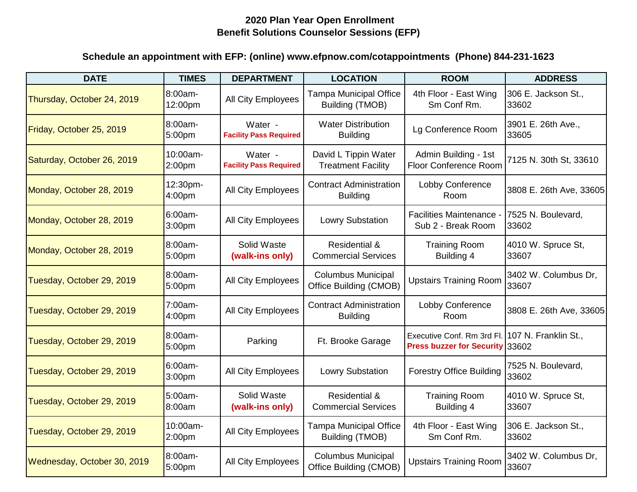| <b>DATE</b>                 | <b>TIMES</b>                   | <b>DEPARTMENT</b>                        | <b>LOCATION</b>                                        | <b>ROOM</b>                                                                        | <b>ADDRESS</b>                |
|-----------------------------|--------------------------------|------------------------------------------|--------------------------------------------------------|------------------------------------------------------------------------------------|-------------------------------|
| Thursday, October 24, 2019  | 8:00am-<br>12:00pm             | All City Employees                       | <b>Tampa Municipal Office</b><br>Building (TMOB)       | 4th Floor - East Wing<br>Sm Conf Rm.                                               | 306 E. Jackson St.,<br>33602  |
| Friday, October 25, 2019    | 8:00am-<br>5:00pm              | Water -<br><b>Facility Pass Required</b> | <b>Water Distribution</b><br><b>Building</b>           | Lg Conference Room                                                                 | 3901 E. 26th Ave.,<br>33605   |
| Saturday, October 26, 2019  | 10:00am-<br>2:00pm             | Water -<br><b>Facility Pass Required</b> | David L Tippin Water<br><b>Treatment Facility</b>      | Admin Building - 1st<br><b>Floor Conference Room</b>                               | 7125 N. 30th St, 33610        |
| Monday, October 28, 2019    | 12:30pm-<br>4:00pm             | All City Employees                       | <b>Contract Administration</b><br><b>Building</b>      | Lobby Conference<br>Room                                                           | 3808 E. 26th Ave, 33605       |
| Monday, October 28, 2019    | 6:00am-<br>3:00 <sub>pm</sub>  | All City Employees                       | <b>Lowry Substation</b>                                | Facilities Maintenance -<br>Sub 2 - Break Room                                     | 7525 N. Boulevard,<br>33602   |
| Monday, October 28, 2019    | 8:00am-<br>5:00pm              | Solid Waste<br>(walk-ins only)           | <b>Residential &amp;</b><br><b>Commercial Services</b> | <b>Training Room</b><br>Building 4                                                 | 4010 W. Spruce St,<br>33607   |
| Tuesday, October 29, 2019   | 8:00am-<br>5:00pm              | All City Employees                       | <b>Columbus Municipal</b><br>Office Building (CMOB)    | <b>Upstairs Training Room</b>                                                      | 3402 W. Columbus Dr.<br>33607 |
| Tuesday, October 29, 2019   | 7:00am-<br>4:00pm              | All City Employees                       | <b>Contract Administration</b><br><b>Building</b>      | Lobby Conference<br>Room                                                           | 3808 E. 26th Ave, 33605       |
| Tuesday, October 29, 2019   | 8:00am-<br>5:00pm              | Parking                                  | Ft. Brooke Garage                                      | Executive Conf. Rm 3rd Fl. 107 N. Franklin St.,<br>Press buzzer for Security 33602 |                               |
| Tuesday, October 29, 2019   | 6:00am-<br>3:00 <sub>pm</sub>  | <b>All City Employees</b>                | <b>Lowry Substation</b>                                | <b>Forestry Office Building</b>                                                    | 7525 N. Boulevard,<br>33602   |
| Tuesday, October 29, 2019   | 5:00am-<br>8:00am              | Solid Waste<br>(walk-ins only)           | <b>Residential &amp;</b><br><b>Commercial Services</b> | <b>Training Room</b><br>Building 4                                                 | 4010 W. Spruce St,<br>33607   |
| Tuesday, October 29, 2019   | 10:00am-<br>2:00 <sub>pm</sub> | All City Employees                       | <b>Tampa Municipal Office</b><br>Building (TMOB)       | 4th Floor - East Wing<br>Sm Conf Rm.                                               | 306 E. Jackson St.,<br>33602  |
| Wednesday, October 30, 2019 | 8:00am-<br>5:00pm              | All City Employees                       | <b>Columbus Municipal</b><br>Office Building (CMOB)    | <b>Upstairs Training Room</b>                                                      | 3402 W. Columbus Dr.<br>33607 |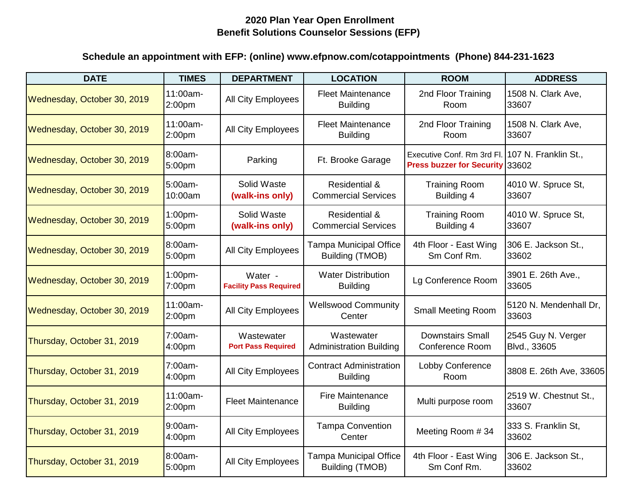| <b>DATE</b>                 | <b>TIMES</b>                   | <b>DEPARTMENT</b>                        | <b>LOCATION</b>                                         | <b>ROOM</b>                                                                        | <b>ADDRESS</b>                     |
|-----------------------------|--------------------------------|------------------------------------------|---------------------------------------------------------|------------------------------------------------------------------------------------|------------------------------------|
| Wednesday, October 30, 2019 | 11:00am-<br>2:00pm             | All City Employees                       | <b>Fleet Maintenance</b><br><b>Building</b>             | 2nd Floor Training<br>Room                                                         | 1508 N. Clark Ave.<br>33607        |
| Wednesday, October 30, 2019 | 11:00am-<br>2:00 <sub>pm</sub> | All City Employees                       | <b>Fleet Maintenance</b><br><b>Building</b>             | 2nd Floor Training<br>Room                                                         | 1508 N. Clark Ave,<br>33607        |
| Wednesday, October 30, 2019 | 8:00am-<br>5:00pm              | Parking                                  | Ft. Brooke Garage                                       | Executive Conf. Rm 3rd Fl. 107 N. Franklin St.,<br>Press buzzer for Security 33602 |                                    |
| Wednesday, October 30, 2019 | 5:00am-<br>10:00am             | Solid Waste<br>(walk-ins only)           | <b>Residential &amp;</b><br><b>Commercial Services</b>  | <b>Training Room</b><br>Building 4                                                 | 4010 W. Spruce St,<br>33607        |
| Wednesday, October 30, 2019 | 1:00pm-<br>5:00pm              | Solid Waste<br>(walk-ins only)           | <b>Residential &amp;</b><br><b>Commercial Services</b>  | <b>Training Room</b><br>Building 4                                                 | 4010 W. Spruce St,<br>33607        |
| Wednesday, October 30, 2019 | 8:00am-<br>5:00pm              | All City Employees                       | <b>Tampa Municipal Office</b><br>Building (TMOB)        | 4th Floor - East Wing<br>Sm Conf Rm.                                               | 306 E. Jackson St.,<br>33602       |
| Wednesday, October 30, 2019 | 1:00pm-<br>7:00pm              | Water -<br><b>Facility Pass Required</b> | <b>Water Distribution</b><br><b>Building</b>            | Lg Conference Room                                                                 | 3901 E. 26th Ave.,<br>33605        |
| Wednesday, October 30, 2019 | 11:00am-<br>2:00pm             | All City Employees                       | <b>Wellswood Community</b><br>Center                    | <b>Small Meeting Room</b>                                                          | 5120 N. Mendenhall Dr,<br>33603    |
| Thursday, October 31, 2019  | 7:00am-<br>4:00pm              | Wastewater<br><b>Port Pass Required</b>  | Wastewater<br><b>Administration Building</b>            | <b>Downstairs Small</b><br><b>Conference Room</b>                                  | 2545 Guy N. Verger<br>Blvd., 33605 |
| Thursday, October 31, 2019  | 7:00am-<br>4:00pm              | All City Employees                       | <b>Contract Administration</b><br><b>Building</b>       | Lobby Conference<br>Room                                                           | 3808 E. 26th Ave, 33605            |
| Thursday, October 31, 2019  | 11:00am-<br>2:00pm             | <b>Fleet Maintenance</b>                 | <b>Fire Maintenance</b><br><b>Building</b>              | Multi purpose room                                                                 | 2519 W. Chestnut St.,<br>33607     |
| Thursday, October 31, 2019  | 9:00am-<br>4:00pm              | All City Employees                       | <b>Tampa Convention</b><br>Center                       | Meeting Room #34                                                                   | 333 S. Franklin St.<br>33602       |
| Thursday, October 31, 2019  | 8:00am-<br>5:00pm              | All City Employees                       | <b>Tampa Municipal Office</b><br><b>Building (TMOB)</b> | 4th Floor - East Wing<br>Sm Conf Rm.                                               | 306 E. Jackson St.,<br>33602       |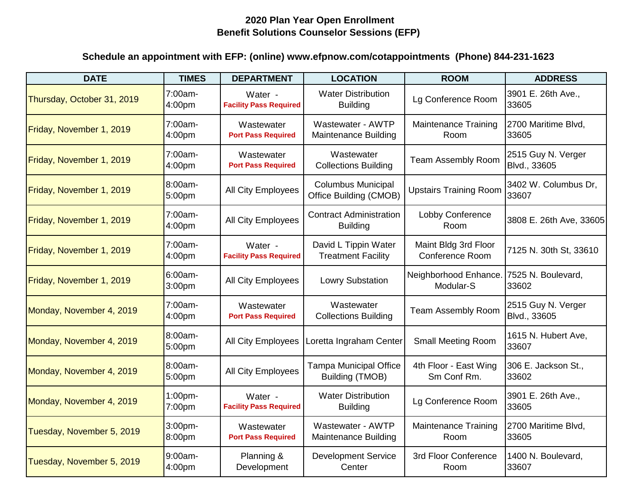| <b>DATE</b>                | <b>TIMES</b>        | <b>DEPARTMENT</b>                        | <b>LOCATION</b>                                     | <b>ROOM</b>                             | <b>ADDRESS</b>                     |
|----------------------------|---------------------|------------------------------------------|-----------------------------------------------------|-----------------------------------------|------------------------------------|
| Thursday, October 31, 2019 | 7:00am-<br>4:00pm   | Water -<br><b>Facility Pass Required</b> | <b>Water Distribution</b><br><b>Building</b>        | Lg Conference Room                      | 3901 E. 26th Ave.,<br>33605        |
| Friday, November 1, 2019   | 7:00am-<br>4:00pm   | Wastewater<br><b>Port Pass Required</b>  | Wastewater - AWTP<br><b>Maintenance Building</b>    | <b>Maintenance Training</b><br>Room     | 2700 Maritime Blvd,<br>33605       |
| Friday, November 1, 2019   | 7:00am-<br>4:00pm   | Wastewater<br><b>Port Pass Required</b>  | Wastewater<br><b>Collections Building</b>           | Team Assembly Room                      | 2515 Guy N. Verger<br>Blvd., 33605 |
| Friday, November 1, 2019   | 8:00am-<br>5:00pm   | All City Employees                       | <b>Columbus Municipal</b><br>Office Building (CMOB) | <b>Upstairs Training Room</b>           | 3402 W. Columbus Dr.<br>33607      |
| Friday, November 1, 2019   | 7:00am-<br>4:00pm   | All City Employees                       | <b>Contract Administration</b><br><b>Building</b>   | Lobby Conference<br>Room                | 3808 E. 26th Ave, 33605            |
| Friday, November 1, 2019   | 7:00am-<br>4:00pm   | Water -<br><b>Facility Pass Required</b> | David L Tippin Water<br><b>Treatment Facility</b>   | Maint Bldg 3rd Floor<br>Conference Room | 7125 N. 30th St, 33610             |
| Friday, November 1, 2019   | $6:00am-$<br>3:00pm | <b>All City Employees</b>                | <b>Lowry Substation</b>                             | Neighborhood Enhance.<br>Modular-S      | 7525 N. Boulevard,<br>33602        |
| Monday, November 4, 2019   | 7:00am-<br>4:00pm   | Wastewater<br><b>Port Pass Required</b>  | Wastewater<br><b>Collections Building</b>           | <b>Team Assembly Room</b>               | 2515 Guy N. Verger<br>Blvd., 33605 |
| Monday, November 4, 2019   | 8:00am-<br>5:00pm   | All City Employees                       | Loretta Ingraham Center                             | <b>Small Meeting Room</b>               | 1615 N. Hubert Ave,<br>33607       |
| Monday, November 4, 2019   | 8:00am-<br>5:00pm   | All City Employees                       | <b>Tampa Municipal Office</b><br>Building (TMOB)    | 4th Floor - East Wing<br>Sm Conf Rm.    | 306 E. Jackson St.,<br>33602       |
| Monday, November 4, 2019   | 1:00pm-<br>7:00pm   | Water -<br><b>Facility Pass Required</b> | <b>Water Distribution</b><br><b>Building</b>        | Lg Conference Room                      | 3901 E. 26th Ave.,<br>33605        |
| Tuesday, November 5, 2019  | 3:00pm-<br>8:00pm   | Wastewater<br><b>Port Pass Required</b>  | Wastewater - AWTP<br><b>Maintenance Building</b>    | <b>Maintenance Training</b><br>Room     | 2700 Maritime Blvd,<br>33605       |
| Tuesday, November 5, 2019  | 9:00am-<br>4:00pm   | Planning &<br>Development                | <b>Development Service</b><br>Center                | 3rd Floor Conference<br>Room            | 1400 N. Boulevard,<br>33607        |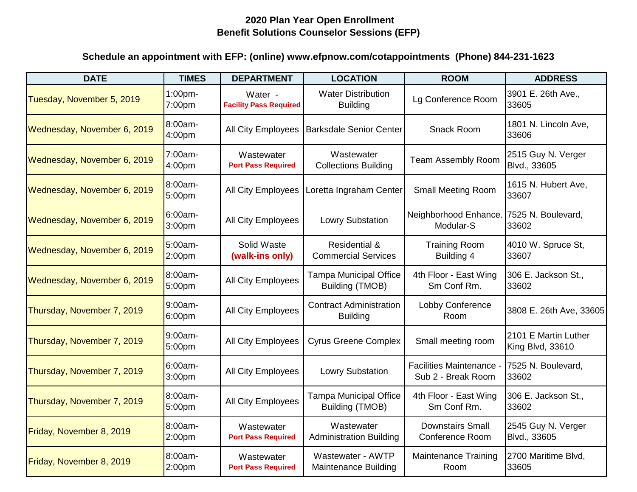| <b>DATE</b>                 | <b>TIMES</b>                  | <b>DEPARTMENT</b>                        | <b>LOCATION</b>                                        | <b>ROOM</b>                                         | <b>ADDRESS</b>                           |
|-----------------------------|-------------------------------|------------------------------------------|--------------------------------------------------------|-----------------------------------------------------|------------------------------------------|
| Tuesday, November 5, 2019   | $1:00$ pm-<br>7:00pm          | Water -<br><b>Facility Pass Required</b> | <b>Water Distribution</b><br><b>Building</b>           | Lg Conference Room                                  | 3901 E. 26th Ave.,<br>33605              |
| Wednesday, November 6, 2019 | 8:00am-<br>4:00 <sub>pm</sub> | <b>All City Employees</b>                | <b>Barksdale Senior Center</b>                         | Snack Room                                          | 1801 N. Lincoln Ave,<br>33606            |
| Wednesday, November 6, 2019 | 7:00am-<br>4:00pm             | Wastewater<br><b>Port Pass Required</b>  | Wastewater<br><b>Collections Building</b>              | <b>Team Assembly Room</b>                           | 2515 Guy N. Verger<br>Blvd., 33605       |
| Wednesday, November 6, 2019 | 8:00am-<br>5:00pm             | All City Employees                       | Loretta Ingraham Center                                | <b>Small Meeting Room</b>                           | 1615 N. Hubert Ave,<br>33607             |
| Wednesday, November 6, 2019 | 6:00am-<br>3:00 <sub>pm</sub> | All City Employees                       | <b>Lowry Substation</b>                                | Neighborhood Enhance<br>Modular-S                   | 7525 N. Boulevard,<br>33602              |
| Wednesday, November 6, 2019 | 5:00am-<br>2:00pm             | Solid Waste<br>(walk-ins only)           | <b>Residential &amp;</b><br><b>Commercial Services</b> | <b>Training Room</b><br>Building 4                  | 4010 W. Spruce St,<br>33607              |
| Wednesday, November 6, 2019 | 8:00am-<br>5:00pm             | All City Employees                       | <b>Tampa Municipal Office</b><br>Building (TMOB)       | 4th Floor - East Wing<br>Sm Conf Rm.                | 306 E. Jackson St.,<br>33602             |
| Thursday, November 7, 2019  | 9:00am-<br>6:00pm             | All City Employees                       | <b>Contract Administration</b><br><b>Building</b>      | Lobby Conference<br>Room                            | 3808 E. 26th Ave, 33605                  |
| Thursday, November 7, 2019  | $9:00am-$<br>5:00pm           | All City Employees                       | <b>Cyrus Greene Complex</b>                            | Small meeting room                                  | 2101 E Martin Luther<br>King Blvd, 33610 |
| Thursday, November 7, 2019  | $6:00am-$<br>3:00pm           | All City Employees                       | <b>Lowry Substation</b>                                | <b>Facilities Maintenance</b><br>Sub 2 - Break Room | 7525 N. Boulevard,<br>33602              |
| Thursday, November 7, 2019  | 8:00am-<br>5:00pm             | All City Employees                       | <b>Tampa Municipal Office</b><br>Building (TMOB)       | 4th Floor - East Wing<br>Sm Conf Rm.                | 306 E. Jackson St.,<br>33602             |
| Friday, November 8, 2019    | 8:00am-<br>2:00pm             | Wastewater<br><b>Port Pass Required</b>  | Wastewater<br><b>Administration Building</b>           | <b>Downstairs Small</b><br><b>Conference Room</b>   | 2545 Guy N. Verger<br>Blvd., 33605       |
| Friday, November 8, 2019    | 8:00am-<br>2:00pm             | Wastewater<br><b>Port Pass Required</b>  | Wastewater - AWTP<br><b>Maintenance Building</b>       | <b>Maintenance Training</b><br>Room                 | 2700 Maritime Blvd,<br>33605             |